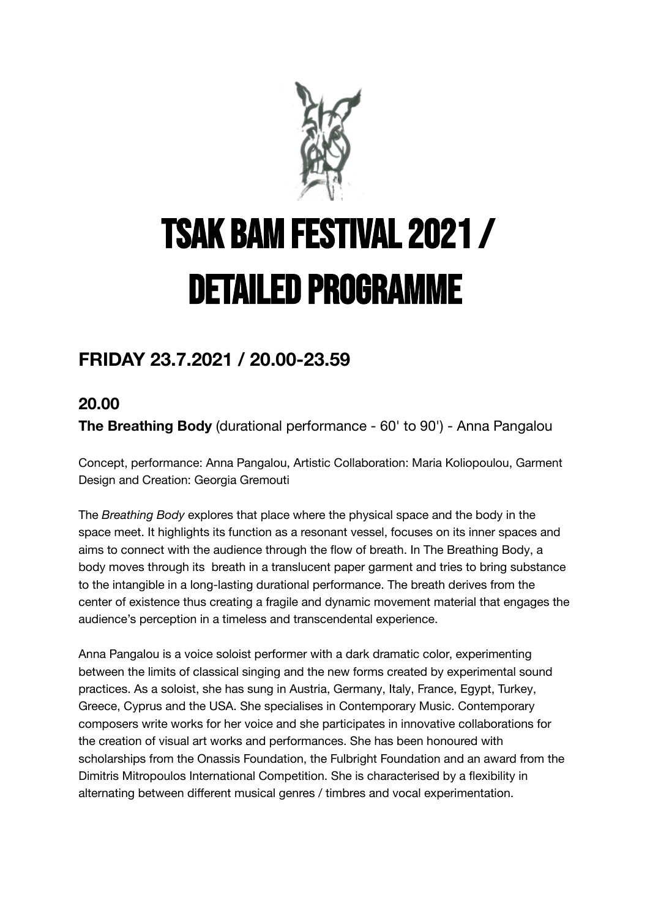

# TSAK BAM FESTIVAL 2021 / Detailed PROGRAMME

# **FRIDAY 23.7.2021 / 20.00-23.59**

# **20.00**

**The Breathing Body** (durational performance - 60' to 90') - Anna Pangalou

Concept, performance: Anna Pangalou, Artistic Collaboration: Maria Koliopoulou, Garment Design and Creation: Georgia Gremouti

The *Breathing Body* explores that place where the physical space and the body in the space meet. It highlights its function as a resonant vessel, focuses on its inner spaces and aims to connect with the audience through the flow of breath. In The Breathing Body, a body moves through its breath in a translucent paper garment and tries to bring substance to the intangible in a long-lasting durational performance. The breath derives from the center of existence thus creating a fragile and dynamic movement material that engages the audience's perception in a timeless and transcendental experience.

Anna Pangalou is a voice soloist performer with a dark dramatic color, experimenting between the limits of classical singing and the new forms created by experimental sound practices. As a soloist, she has sung in Austria, Germany, Italy, France, Egypt, Turkey, Greece, Cyprus and the USA. She specialises in Contemporary Music. Contemporary composers write works for her voice and she participates in innovative collaborations for the creation of visual art works and performances. She has been honoured with scholarships from the Onassis Foundation, the Fulbright Foundation and an award from the Dimitris Mitropoulos International Competition. She is characterised by a flexibility in alternating between different musical genres / timbres and vocal experimentation.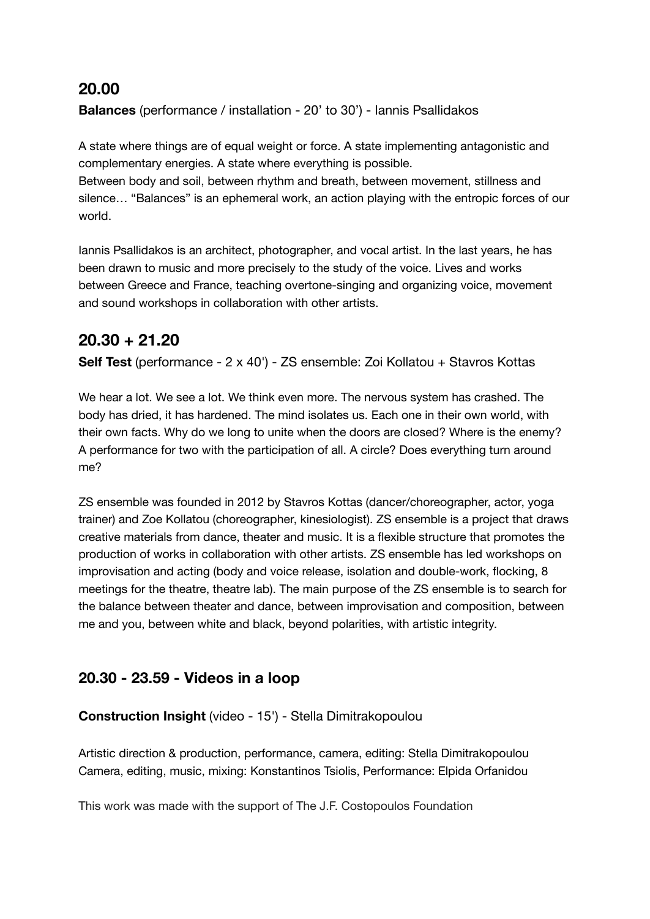#### **20.00**

**Balances** (performance / installation - 20' to 30') - Iannis Psallidakos

A state where things are of equal weight or force. A state implementing antagonistic and complementary energies. A state where everything is possible.

Between body and soil, between rhythm and breath, between movement, stillness and silence… "Balances" is an ephemeral work, an action playing with the entropic forces of our world.

Iannis Psallidakos is an architect, photographer, and vocal artist. In the last years, he has been drawn to music and more precisely to the study of the voice. Lives and works between Greece and France, teaching overtone-singing and organizing voice, movement and sound workshops in collaboration with other artists.

# **20.30 + 21.20**

**Self Test** (performance - 2 x 40') - ZS ensemble: Zoi Kollatou + Stavros Kottas

We hear a lot. We see a lot. We think even more. The nervous system has crashed. The body has dried, it has hardened. The mind isolates us. Each one in their own world, with their own facts. Why do we long to unite when the doors are closed? Where is the enemy? A performance for two with the participation of all. A circle? Does everything turn around me?

ZS ensemble was founded in 2012 by Stavros Kottas (dancer/choreographer, actor, yoga trainer) and Zoe Kollatou (choreographer, kinesiologist). ZS ensemble is a project that draws creative materials from dance, theater and music. It is a flexible structure that promotes the production of works in collaboration with other artists. ZS ensemble has led workshops on improvisation and acting (body and voice release, isolation and double-work, flocking, 8 meetings for the theatre, theatre lab). The main purpose of the ZS ensemble is to search for the balance between theater and dance, between improvisation and composition, between me and you, between white and black, beyond polarities, with artistic integrity.

## **20.30 - 23.59 - Videos in a loop**

#### **Construction Insight** (video - 15') - Stella Dimitrakopoulou

Artistic direction & production, performance, camera, editing: Stella Dimitrakopoulou Camera, editing, music, mixing: Konstantinos Tsiolis, Performance: Elpida Orfanidou

This work was made with the support of The J.F. Costopoulos Foundation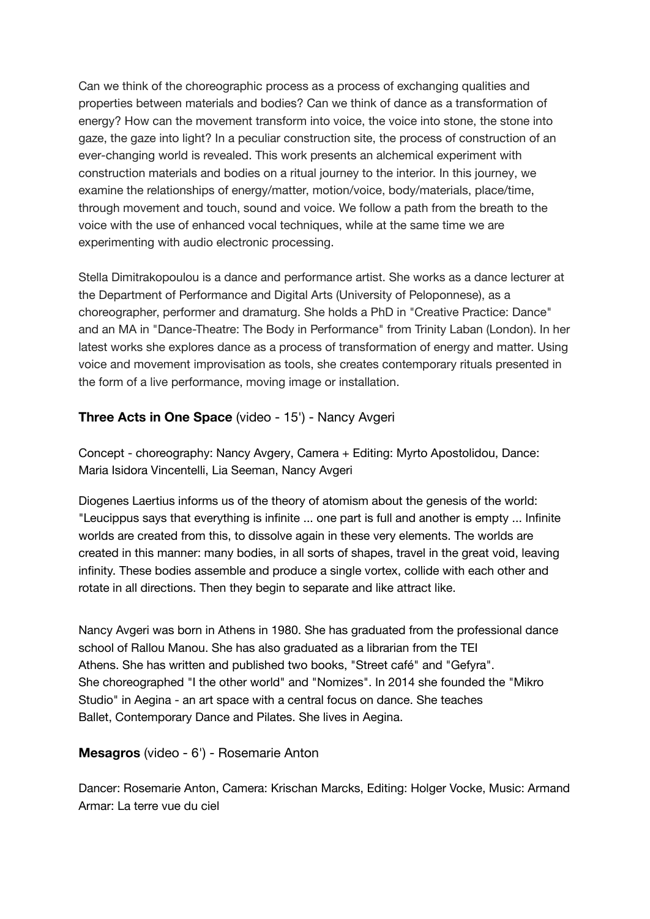Can we think of the choreographic process as a process of exchanging qualities and properties between materials and bodies? Can we think of dance as a transformation of energy? How can the movement transform into voice, the voice into stone, the stone into gaze, the gaze into light? In a peculiar construction site, the process of construction of an ever-changing world is revealed. This work presents an alchemical experiment with construction materials and bodies on a ritual journey to the interior. In this journey, we examine the relationships of energy/matter, motion/voice, body/materials, place/time, through movement and touch, sound and voice. We follow a path from the breath to the voice with the use of enhanced vocal techniques, while at the same time we are experimenting with audio electronic processing.

Stella Dimitrakopoulou is a dance and performance artist. She works as a dance lecturer at the Department of Performance and Digital Arts (University of Peloponnese), as a choreographer, performer and dramaturg. She holds a PhD in "Creative Practice: Dance" and an MA in "Dance-Theatre: The Body in Performance" from Trinity Laban (London). In her latest works she explores dance as a process of transformation of energy and matter. Using voice and movement improvisation as tools, she creates contemporary rituals presented in the form of a live performance, moving image or installation.

#### **Three Acts in One Space** (video - 15') - Nancy Avgeri

Concept - choreography: Nancy Avgery, Camera + Editing: Myrto Apostolidou, Dance: Maria Isidora Vincentelli, Lia Seeman, Nancy Avgeri

Diogenes Laertius informs us of the theory of atomism about the genesis of the world: "Leucippus says that everything is infinite ... one part is full and another is empty ... Ιnfinite worlds are created from this, to dissolve again in these very elements. The worlds are created in this manner: many bodies, in all sorts of shapes, travel in the great void, leaving infinity. These bodies assemble and produce a single vortex, collide with each other and rotate in all directions. Then they begin to separate and like attract like.

Nancy Avgeri was born in Athens in 1980. She has graduated from the professional dance school of Rallou Manou. She has also graduated as a librarian from the TEI Athens. She has written and published two books, "Street café" and "Gefyra". She choreographed "I the other world" and "Nomizes". In 2014 she founded the "Mikro Studio" in Aegina - an art space with a central focus on dance. She teaches Ballet, Contemporary Dance and Pilates. She lives in Aegina.

#### **Mesagros** (video - 6') - Rosemarie Anton

Dancer: Rosemarie Anton, Camera: Krischan Marcks, Editing: Holger Vocke, Music: Armand Armar: La terre vue du ciel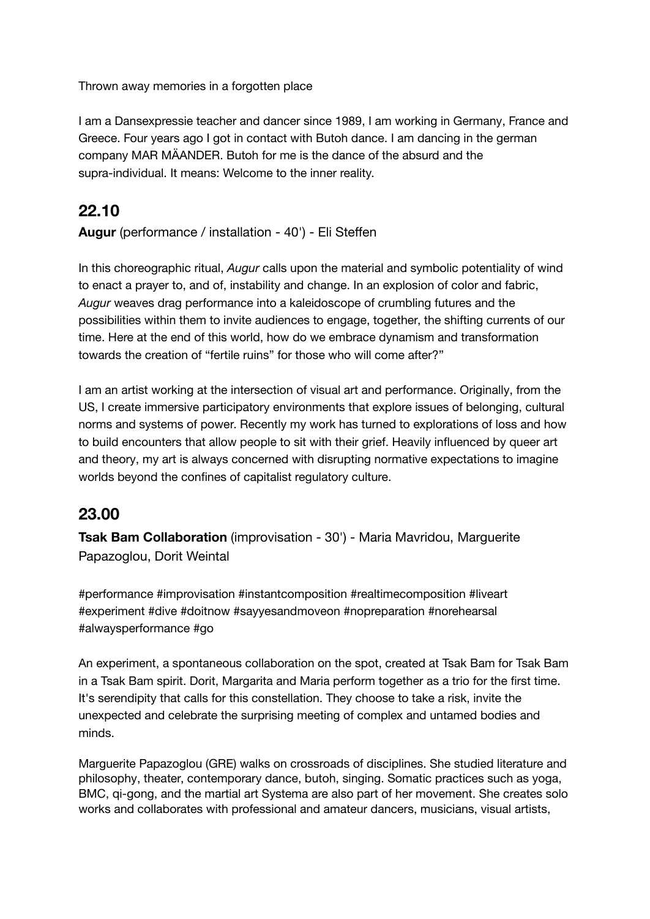Thrown away memories in a forgotten place

I am a Dansexpressie teacher and dancer since 1989, I am working in Germany, France and Greece. Four years ago I got in contact with Butoh dance. I am dancing in the german company MAR MÄANDER. Butoh for me is the dance of the absurd and the supra-individual. It means: Welcome to the inner reality.

## **22.10**

**Augur** (performance / installation - 40') - Eli Steffen

In this choreographic ritual, *Augur* calls upon the material and symbolic potentiality of wind to enact a prayer to, and of, instability and change. In an explosion of color and fabric, *Augur* weaves drag performance into a kaleidoscope of crumbling futures and the possibilities within them to invite audiences to engage, together, the shifting currents of our time. Here at the end of this world, how do we embrace dynamism and transformation towards the creation of "fertile ruins" for those who will come after?"

I am an artist working at the intersection of visual art and performance. Originally, from the US, I create immersive participatory environments that explore issues of belonging, cultural norms and systems of power. Recently my work has turned to explorations of loss and how to build encounters that allow people to sit with their grief. Heavily influenced by queer art and theory, my art is always concerned with disrupting normative expectations to imagine worlds beyond the confines of capitalist regulatory culture.

#### **23.00**

**Tsak Bam Collaboration** (improvisation - 30') - Maria Mavridou, Marguerite Papazoglou, Dorit Weintal

#performance #improvisation #instantcomposition #realtimecomposition #liveart #experiment #dive #doitnow #sayyesandmoveon #nopreparation #norehearsal #alwaysperformance #go

An experiment, a spontaneous collaboration on the spot, created at Tsak Bam for Tsak Bam in a Tsak Bam spirit. Dorit, Margarita and Maria perform together as a trio for the first time. It's serendipity that calls for this constellation. They choose to take a risk, invite the unexpected and celebrate the surprising meeting of complex and untamed bodies and minds.

Marguerite Papazoglou (GRE) walks on crossroads of disciplines. She studied literature and philosophy, theater, contemporary dance, butοh, singing. Somatic practices such as yoga, BMC, qi-gong, and the martial art Systema are also part of her movement. She creates solo works and collaborates with professional and amateur dancers, musicians, visual artists,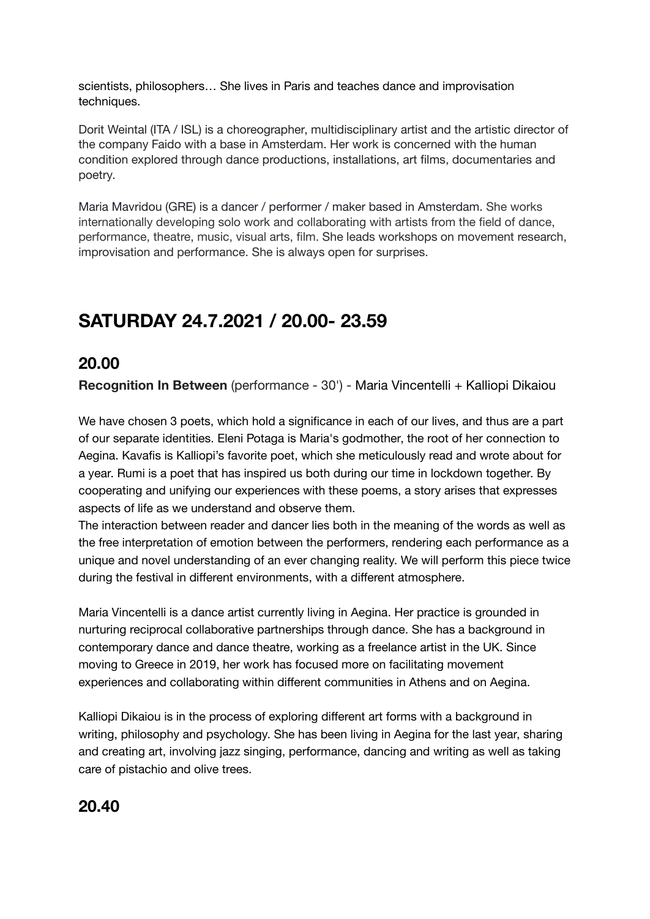scientists, philosophers… She lives in Paris and teaches dance and improvisation techniques.

Dorit Weintal (ITA / ISL) is a choreographer, multidisciplinary artist and the artistic director of the company Faido with a base in Amsterdam. Her work is concerned with the human condition explored through dance productions, installations, art films, documentaries and poetry.

Maria Mavridou (GRE) is a dancer / performer / maker based in Amsterdam. She works internationally developing solo work and collaborating with artists from the field of dance, performance, theatre, music, visual arts, film. She leads workshops on movement research, improvisation and performance. She is always open for surprises.

# **SATURDAY 24.7.2021 / 20.00- 23.59**

#### **20.00**

**Recognition In Between** (performance - 30') - Maria Vincentelli + Kalliopi Dikaiou

We have chosen 3 poets, which hold a significance in each of our lives, and thus are a part of our separate identities. Eleni Potaga is Maria's godmother, the root of her connection to Aegina. Kavafis is Kalliopi's favorite poet, which she meticulously read and wrote about for a year. Rumi is a poet that has inspired us both during our time in lockdown together. By cooperating and unifying our experiences with these poems, a story arises that expresses aspects of life as we understand and observe them.

The interaction between reader and dancer lies both in the meaning of the words as well as the free interpretation of emotion between the performers, rendering each performance as a unique and novel understanding of an ever changing reality. We will perform this piece twice during the festival in different environments, with a different atmosphere.

Maria Vincentelli is a dance artist currently living in Aegina. Her practice is grounded in nurturing reciprocal collaborative partnerships through dance. She has a background in contemporary dance and dance theatre, working as a freelance artist in the UK. Since moving to Greece in 2019, her work has focused more on facilitating movement experiences and collaborating within different communities in Athens and on Aegina.

Kalliopi Dikaiou is in the process of exploring different art forms with a background in writing, philosophy and psychology. She has been living in Aegina for the last year, sharing and creating art, involving jazz singing, performance, dancing and writing as well as taking care of pistachio and olive trees.

#### **20.40**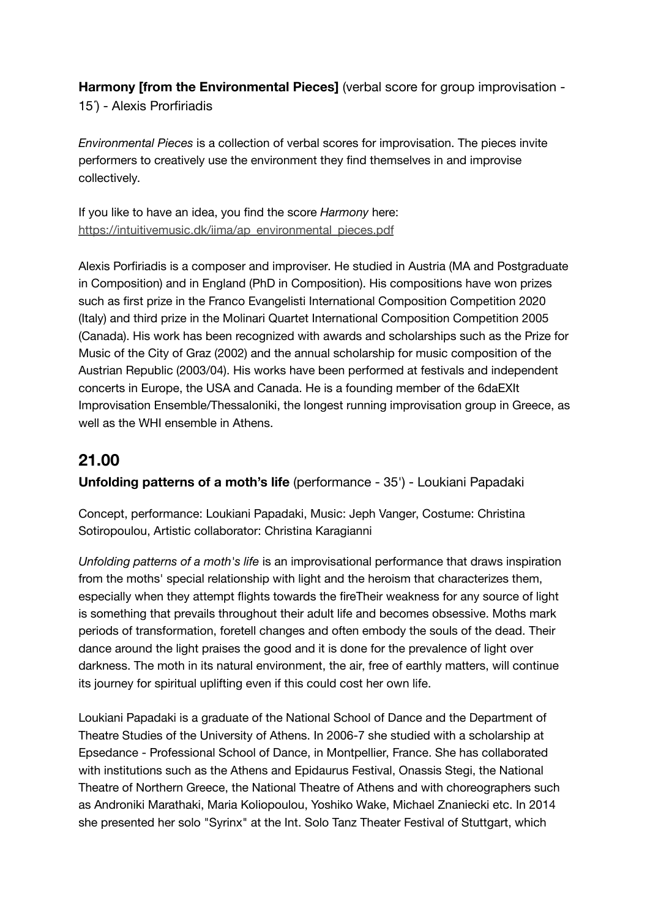**Harmony [from the Environmental Pieces]** (verbal score for group improvisation - 15΄) - Alexis Prorfiriadis

*Environmental Pieces* is a collection of verbal scores for improvisation. The pieces invite performers to creatively use the environment they find themselves in and improvise collectively.

If you like to have an idea, you find the score *Harmony* here: [https://intuitivemusic.dk/iima/ap\\_environmental\\_pieces.pdf](https://intuitivemusic.dk/iima/ap_environmental_pieces.pdf)

Alexis Porfiriadis is a composer and improviser. He studied in Austria (MA and Postgraduate in Composition) and in England (PhD in Composition). His compositions have won prizes such as first prize in the Franco Evangelisti International Composition Competition 2020 (Italy) and third prize in the Molinari Quartet International Composition Competition 2005 (Canada). His work has been recognized with awards and scholarships such as the Prize for Music of the City of Graz (2002) and the annual scholarship for music composition of the Austrian Republic (2003/04). His works have been performed at festivals and independent concerts in Europe, the USA and Canada. He is a founding member of the 6daEXIt Improvisation Ensemble/Thessaloniki, the longest running improvisation group in Greece, as well as the WHI ensemble in Athens.

#### **21.00**

**Unfolding patterns of a moth's life** (performance - 35') - Loukiani Papadaki

Concept, performance: Loukiani Papadaki, Music: Jeph Vanger, Costume: Christina Sotiropoulou, Artistic collaborator: Christina Karagianni

*Unfolding patterns of a moth's life* is an improvisational performance that draws inspiration from the moths' special relationship with light and the heroism that characterizes them, especially when they attempt flights towards the fireTheir weakness for any source of light is something that prevails throughout their adult life and becomes obsessive. Moths mark periods of transformation, foretell changes and often embody the souls of the dead. Their dance around the light praises the good and it is done for the prevalence of light over darkness. The moth in its natural environment, the air, free of earthly matters, will continue its journey for spiritual uplifting even if this could cost her own life.

Loukiani Papadaki is a graduate of the National School of Dance and the Department of Theatre Studies of the University of Athens. In 2006-7 she studied with a scholarship at Epsedance - Professional School of Dance, in Montpellier, France. She has collaborated with institutions such as the Athens and Epidaurus Festival, Onassis Stegi, the National Theatre of Northern Greece, the National Theatre of Athens and with choreographers such as Androniki Marathaki, Maria Koliopoulou, Yoshiko Wake, Michael Znaniecki etc. In 2014 she presented her solo "Syrinx" at the Int. Solo Tanz Theater Festival of Stuttgart, which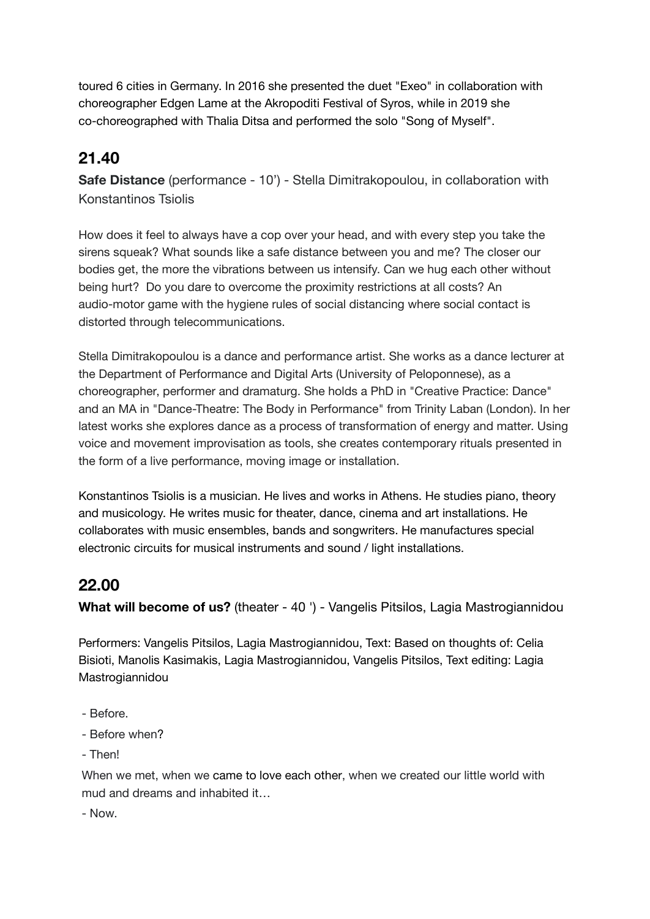toured 6 cities in Germany. In 2016 she presented the duet "Exeo" in collaboration with choreographer Edgen Lame at the Akropoditi Festival of Syros, while in 2019 she co-choreographed with Thalia Ditsa and performed the solo "Song of Myself".

# **21.40**

**Safe Distance** (performance - 10') - Stella Dimitrakopoulou, in collaboration with Konstantinos Tsiolis

How does it feel to always have a cop over your head, and with every step you take the sirens squeak? What sounds like a safe distance between you and me? The closer our bodies get, the more the vibrations between us intensify. Can we hug each other without being hurt? Do you dare to overcome the proximity restrictions at all costs? An audio-motor game with the hygiene rules of social distancing where social contact is distorted through telecommunications.

Stella Dimitrakopoulou is a dance and performance artist. She works as a dance lecturer at the Department of Performance and Digital Arts (University of Peloponnese), as a choreographer, performer and dramaturg. She holds a PhD in "Creative Practice: Dance" and an MA in "Dance-Theatre: The Body in Performance" from Trinity Laban (London). In her latest works she explores dance as a process of transformation of energy and matter. Using voice and movement improvisation as tools, she creates contemporary rituals presented in the form of a live performance, moving image or installation.

Konstantinos Tsiolis is a musician. He lives and works in Athens. He studies piano, theory and musicology. He writes music for theater, dance, cinema and art installations. He collaborates with music ensembles, bands and songwriters. He manufactures special electronic circuits for musical instruments and sound / light installations.

## **22.00**

**What will become of us?** (theater - 40 ') - Vangelis Pitsilos, Lagia Mastrogiannidou

Performers: Vangelis Pitsilos, Lagia Mastrogiannidou, Text: Based on thoughts of: Celia Bisioti, Manolis Kasimakis, Lagia Mastrogiannidou, Vangelis Pitsilos, Text editing: Lagia Mastrogiannidou

- Before.
- Before when?
- Then!

When we met, when we came to love each other, when we created our little world with mud and dreams and inhabited it…

- Now.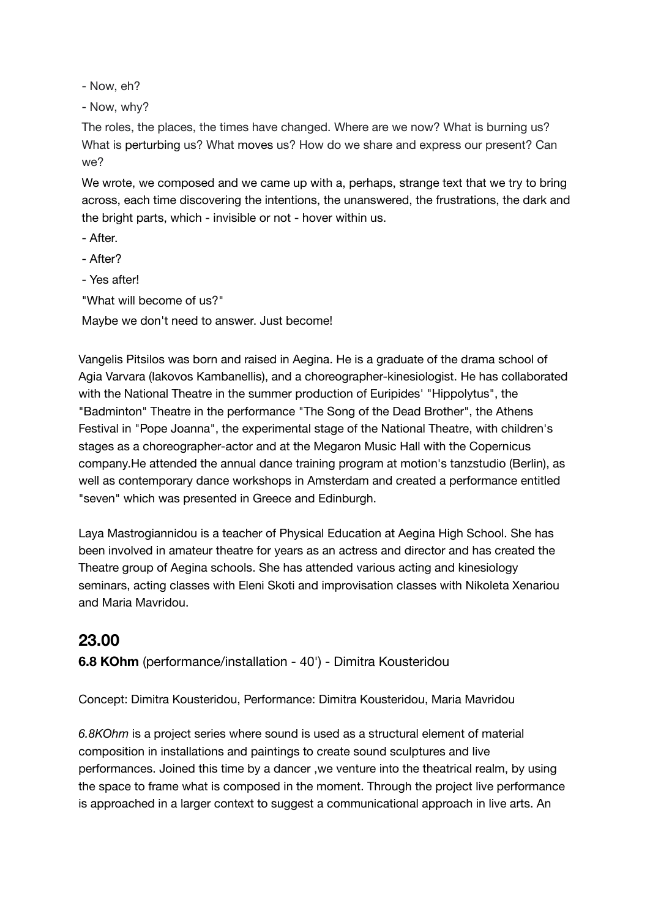- Now, eh?

- Now, why?

The roles, the places, the times have changed. Where are we now? What is burning us? What is perturbing us? What moves us? How do we share and express our present? Can we?

We wrote, we composed and we came up with a, perhaps, strange text that we try to bring across, each time discovering the intentions, the unanswered, the frustrations, the dark and the bright parts, which - invisible or not - hover within us.

- After.
- After?
- Yes after!
- "What will become of us?"

Maybe we don't need to answer. Just become!

Vangelis Pitsilos was born and raised in Aegina. He is a graduate of the drama school of Agia Varvara (Iakovos Kambanellis), and a choreographer-kinesiologist. He has collaborated with the National Theatre in the summer production of Euripides' "Hippolytus", the "Badminton" Theatre in the performance "The Song of the Dead Brother", the Athens Festival in "Pope Joanna", the experimental stage of the National Theatre, with children's stages as a choreographer-actor and at the Megaron Music Hall with the Copernicus company.He attended the annual dance training program at motion's tanzstudio (Berlin), as well as contemporary dance workshops in Amsterdam and created a performance entitled "seven" which was presented in Greece and Edinburgh.

Laya Mastrogiannidou is a teacher of Physical Education at Aegina High School. She has been involved in amateur theatre for years as an actress and director and has created the Theatre group of Aegina schools. She has attended various acting and kinesiology seminars, acting classes with Eleni Skoti and improvisation classes with Nikoleta Xenariou and Maria Mavridou.

#### **23.00**

**6.8 KOhm** (performance/installation - 40') - Dimitra Kousteridou

Concept: Dimitra Kousteridou, Performance: Dimitra Kousteridou, Maria Mavridou

*6.8KOhm* is a project series where sound is used as a structural element of material composition in installations and paintings to create sound sculptures and live performances. Joined this time by a dancer ,we venture into the theatrical realm, by using the space to frame what is composed in the moment. Through the project live performance is approached in a larger context to suggest a communicational approach in live arts. An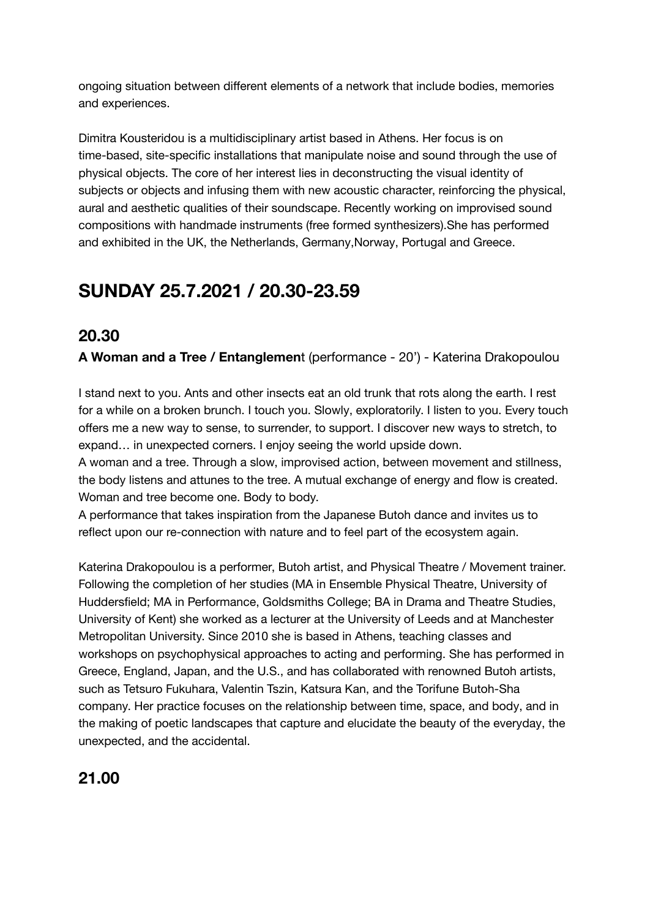ongoing situation between different elements of a network that include bodies, memories and experiences.

Dimitra Kousteridou is a multidisciplinary artist based in Athens. Her focus is on time-based, site-specific installations that manipulate noise and sound through the use of physical objects. The core of her interest lies in deconstructing the visual identity of subjects or objects and infusing them with new acoustic character, reinforcing the physical, aural and aesthetic qualities of their soundscape. Recently working on improvised sound compositions with handmade instruments (free formed synthesizers).She has performed and exhibited in the UK, the Netherlands, Germany,Norway, Portugal and Greece.

# **SUNDAY 25.7.2021 / 20.30-23.59**

## **20.30**

**A Woman and a Tree / Entanglemen**t (performance - 20') - Katerina Drakopoulou

I stand next to you. Ants and other insects eat an old trunk that rots along the earth. I rest for a while on a broken brunch. I touch you. Slowly, exploratorily. I listen to you. Every touch offers me a new way to sense, to surrender, to support. I discover new ways to stretch, to expand… in unexpected corners. I enjoy seeing the world upside down.

A woman and a tree. Through a slow, improvised action, between movement and stillness, the body listens and attunes to the tree. A mutual exchange of energy and flow is created. Woman and tree become one. Body to body.

A performance that takes inspiration from the Japanese Butoh dance and invites us to reflect upon our re-connection with nature and to feel part of the ecosystem again.

Katerina Drakopoulou is a performer, Butoh artist, and Physical Theatre / Movement trainer. Following the completion of her studies (MA in Ensemble Physical Theatre, University of Huddersfield; MA in Performance, Goldsmiths College; BA in Drama and Theatre Studies, University of Kent) she worked as a lecturer at the University of Leeds and at Manchester Metropolitan University. Since 2010 she is based in Athens, teaching classes and workshops on psychophysical approaches to acting and performing. She has performed in Greece, England, Japan, and the U.S., and has collaborated with renowned Butoh artists, such as Tetsuro Fukuhara, Valentin Tszin, Katsura Kan, and the Torifune Butoh-Sha company. Her practice focuses on the relationship between time, space, and body, and in the making of poetic landscapes that capture and elucidate the beauty of the everyday, the unexpected, and the accidental.

# **21.00**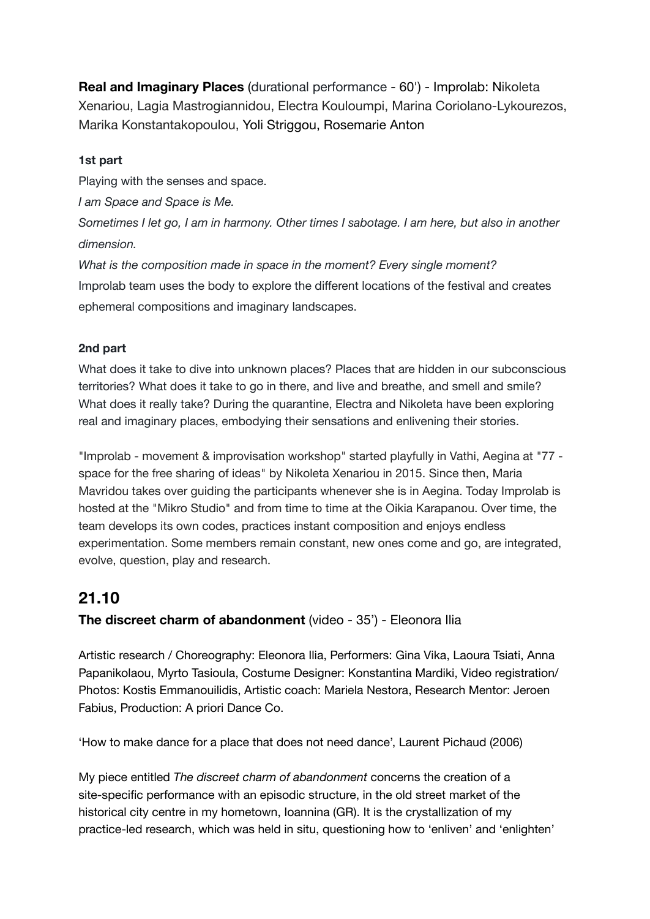**Real and Imaginary Places** (durational performance - 60') - Improlab: Nikoleta Xenariou, Lagia Mastrogiannidou, Electra Kouloumpi, Marina Coriolano-Lykourezos, Marika Konstantakopoulou, Yoli Striggou, Rosemarie Anton

#### **1st part**

Playing with the senses and space.

*I am Space and Space is Me.*

*Sometimes I let go, I am in harmony. Other times I sabotage. I am here, but also in another dimension.*

*What is the composition made in space in the moment? Every single moment?* Improlab team uses the body to explore the different locations of the festival and creates ephemeral compositions and imaginary landscapes.

#### **2nd part**

What does it take to dive into unknown places? Places that are hidden in our subconscious territories? What does it take to go in there, and live and breathe, and smell and smile? What does it really take? During the quarantine, Electra and Nikoleta have been exploring real and imaginary places, embodying their sensations and enlivening their stories.

"Improlab - movement & improvisation workshop" started playfully in Vathi, Aegina at "77 space for the free sharing of ideas" by Nikoleta Xenariou in 2015. Since then, Maria Mavridou takes over guiding the participants whenever she is in Aegina. Today Improlab is hosted at the "Mikro Studio" and from time to time at the Oikia Karapanou. Over time, the team develops its own codes, practices instant composition and enjoys endless experimentation. Some members remain constant, new ones come and go, are integrated, evolve, question, play and research.

# **21.10**

#### **The discreet charm of abandonment** (video - 35') - Eleonora Ilia

Artistic research / Choreography: Eleonora Ilia, Performers: Gina Vika, Laoura Tsiati, Anna Papanikolaou, Myrto Tasioula, Costume Designer: Konstantina Mardiki, Video registration/ Photos: Kostis Emmanouilidis, Artistic coach: Mariela Nestora, Research Mentor: Jeroen Fabius, Production: A priori Dance Co.

'How to make dance for a place that does not need dance', Laurent Pichaud (2006)

My piece entitled *The discreet charm of abandonment* concerns the creation of a site-specific performance with an episodic structure, in the old street market of the historical city centre in my hometown, Ioannina (GR). It is the crystallization of my practice-led research, which was held in situ, questioning how to 'enliven' and 'enlighten'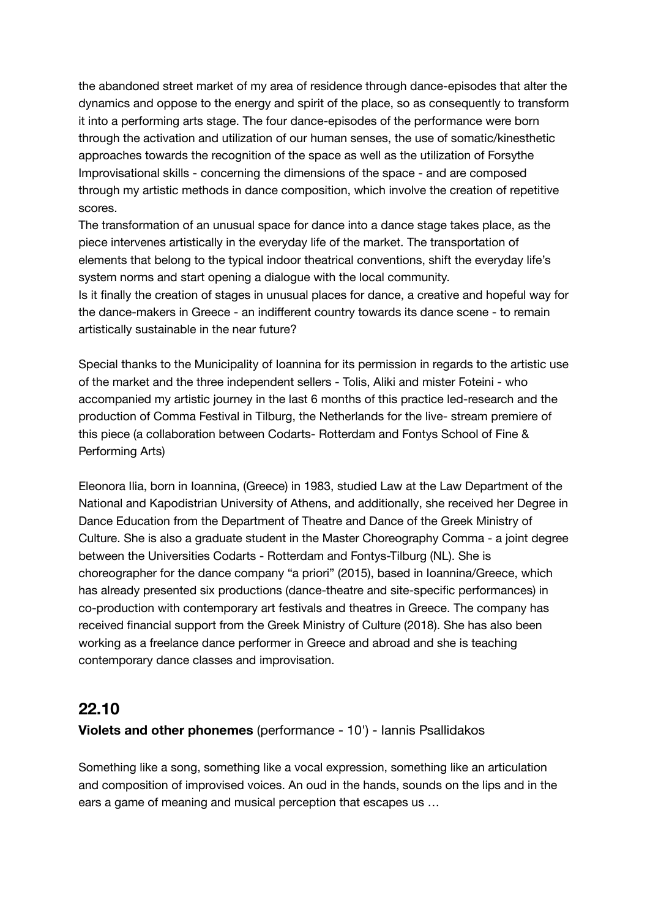the abandoned street market of my area of residence through dance-episodes that alter the dynamics and oppose to the energy and spirit of the place, so as consequently to transform it into a performing arts stage. The four dance-episodes of the performance were born through the activation and utilization of our human senses, the use of somatic/kinesthetic approaches towards the recognition of the space as well as the utilization of Forsythe Improvisational skills - concerning the dimensions of the space - and are composed through my artistic methods in dance composition, which involve the creation of repetitive scores.

The transformation of an unusual space for dance into a dance stage takes place, as the piece intervenes artistically in the everyday life of the market. The transportation of elements that belong to the typical indoor theatrical conventions, shift the everyday life's system norms and start opening a dialogue with the local community.

Is it finally the creation of stages in unusual places for dance, a creative and hopeful way for the dance-makers in Greece - an indifferent country towards its dance scene - to remain artistically sustainable in the near future?

Special thanks to the Municipality of Ioannina for its permission in regards to the artistic use of the market and the three independent sellers - Tolis, Aliki and mister Foteini - who accompanied my artistic journey in the last 6 months of this practice led-research and the production of Comma Festival in Tilburg, the Netherlands for the live- stream premiere of this piece (a collaboration between Codarts- Rotterdam and Fontys School of Fine & Performing Arts)

Eleonora Ilia, born in Ioannina, (Greece) in 1983, studied Law at the Law Department of the National and Kapodistrian University of Athens, and additionally, she received her Degree in Dance Education from the Department of Theatre and Dance of the Greek Ministry of Culture. She is also a graduate student in the Master Choreography Comma - a joint degree between the Universities Codarts - Rotterdam and Fontys-Tilburg (NL). She is choreographer for the dance company "a priori" (2015), based in Ioannina/Greece, which has already presented six productions (dance-theatre and site-specific performances) in co-production with contemporary art festivals and theatres in Greece. The company has received financial support from the Greek Ministry of Culture (2018). She has also been working as a freelance dance performer in Greece and abroad and she is teaching contemporary dance classes and improvisation.

#### **22.10**

#### **Violets and other phonemes** (performance - 10') - Ιannis Psallidakos

Something like a song, something like a vocal expression, something like an articulation and composition of improvised voices. An oud in the hands, sounds on the lips and in the ears a game of meaning and musical perception that escapes us …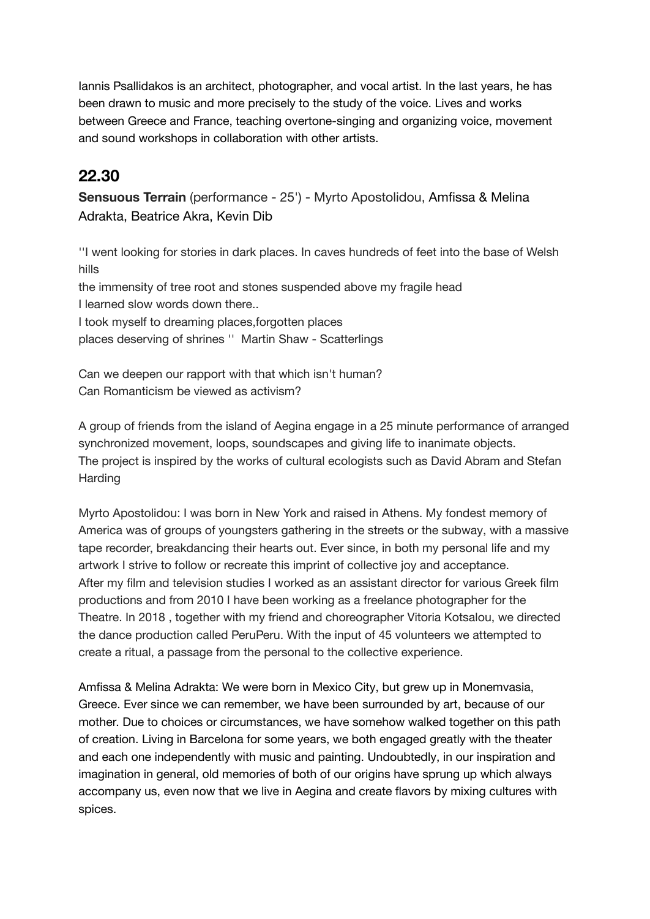Iannis Psallidakos is an architect, photographer, and vocal artist. In the last years, he has been drawn to music and more precisely to the study of the voice. Lives and works between Greece and France, teaching overtone-singing and organizing voice, movement and sound workshops in collaboration with other artists.

# **22.30**

**Sensuous Terrain** (performance - 25') - Myrto Apostolidou, Amfissa & Melina Adrakta, Beatrice Akra, Kevin Dib

''I went looking for stories in dark places. In caves hundreds of feet into the base of Welsh hills the immensity of tree root and stones suspended above my fragile head I learned slow words down there.. I took myself to dreaming places,forgotten places places deserving of shrines '' Martin Shaw - Scatterlings

Can we deepen our rapport with that which isn't human? Can Romanticism be viewed as activism?

A group of friends from the island of Aegina engage in a 25 minute performance of arranged synchronized movement, loops, soundscapes and giving life to inanimate objects. The project is inspired by the works of cultural ecologists such as David Abram and Stefan **Harding** 

Myrto Apostolidou: I was born in New York and raised in Athens. My fondest memory of America was of groups of youngsters gathering in the streets or the subway, with a massive tape recorder, breakdancing their hearts out. Ever since, in both my personal life and my artwork I strive to follow or recreate this imprint of collective joy and acceptance. After my film and television studies I worked as an assistant director for various Greek film productions and from 2010 I have been working as a freelance photographer for the Theatre. In 2018 , together with my friend and choreographer Vitoria Kotsalou, we directed the dance production called PeruPeru. With the input of 45 volunteers we attempted to create a ritual, a passage from the personal to the collective experience.

Amfissa & Melina Adrakta: We were born in Mexico City, but grew up in Monemvasia, Greece. Ever since we can remember, we have been surrounded by art, because of our mother. Due to choices or circumstances, we have somehow walked together on this path of creation. Living in Barcelona for some years, we both engaged greatly with the theater and each one independently with music and painting. Undoubtedly, in our inspiration and imagination in general, old memories of both of our origins have sprung up which always accompany us, even now that we live in Aegina and create flavors by mixing cultures with spices.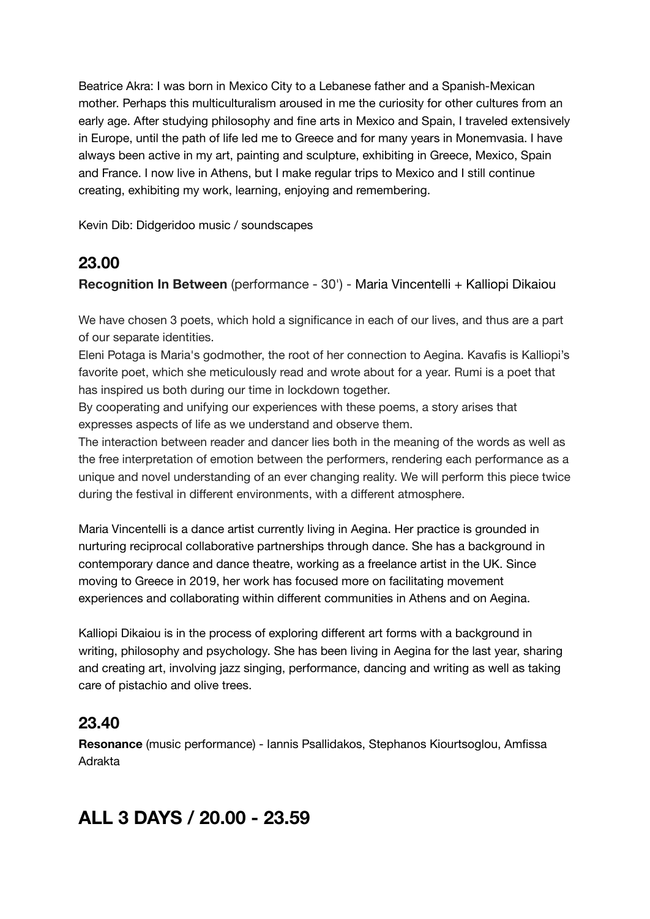Beatrice Akra: I was born in Mexico City to a Lebanese father and a Spanish-Mexican mother. Perhaps this multiculturalism aroused in me the curiosity for other cultures from an early age. After studying philosophy and fine arts in Mexico and Spain, I traveled extensively in Europe, until the path of life led me to Greece and for many years in Monemvasia. I have always been active in my art, painting and sculpture, exhibiting in Greece, Mexico, Spain and France. I now live in Athens, but I make regular trips to Mexico and I still continue creating, exhibiting my work, learning, enjoying and remembering.

Kevin Dib: Didgeridoo music / soundscapes

## **23.00**

**Recognition In Between** (performance - 30') - Maria Vincentelli + Kalliopi Dikaiou

We have chosen 3 poets, which hold a significance in each of our lives, and thus are a part of our separate identities.

Eleni Potaga is Maria's godmother, the root of her connection to Aegina. Kavafis is Kalliopi's favorite poet, which she meticulously read and wrote about for a year. Rumi is a poet that has inspired us both during our time in lockdown together.

By cooperating and unifying our experiences with these poems, a story arises that expresses aspects of life as we understand and observe them.

The interaction between reader and dancer lies both in the meaning of the words as well as the free interpretation of emotion between the performers, rendering each performance as a unique and novel understanding of an ever changing reality. We will perform this piece twice during the festival in different environments, with a different atmosphere.

Maria Vincentelli is a dance artist currently living in Aegina. Her practice is grounded in nurturing reciprocal collaborative partnerships through dance. She has a background in contemporary dance and dance theatre, working as a freelance artist in the UK. Since moving to Greece in 2019, her work has focused more on facilitating movement experiences and collaborating within different communities in Athens and on Aegina.

Kalliopi Dikaiou is in the process of exploring different art forms with a background in writing, philosophy and psychology. She has been living in Aegina for the last year, sharing and creating art, involving jazz singing, performance, dancing and writing as well as taking care of pistachio and olive trees.

# **23.40**

**Resonance** (music performance) - Iannis Psallidakos, Stephanos Kiourtsoglou, Amfissa Adrakta

# **ALL 3 DAYS / 20.00 - 23.59**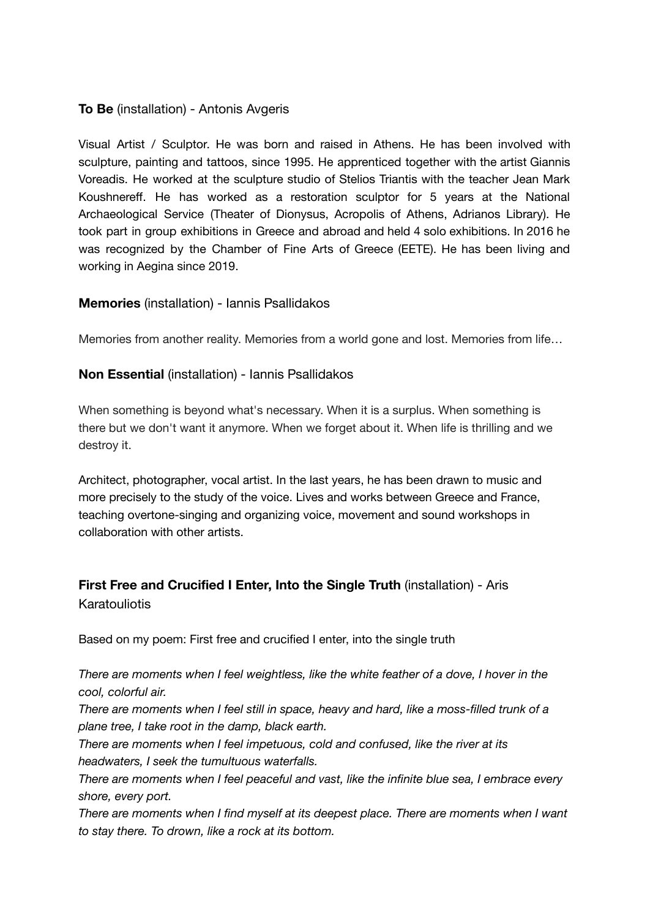#### **To Be** (installation) - Αntonis Avgeris

Visual Artist / Sculptor. He was born and raised in Athens. He has been involved with sculpture, painting and tattoos, since 1995. He apprenticed together with the artist Giannis Voreadis. He worked at the sculpture studio of Stelios Triantis with the teacher Jean Mark Koushnereff. He has worked as a restoration sculptor for 5 years at the National Archaeological Service (Theater of Dionysus, Acropolis of Athens, Adrianos Library). He took part in group exhibitions in Greece and abroad and held 4 solo exhibitions. In 2016 he was recognized by the Chamber of Fine Arts of Greece (EETE). He has been living and working in Aegina since 2019.

#### **Memories** (installation) - Ιannis Psallidakos

Memories from another reality. Memories from a world gone and lost. Memories from life…

#### **Non Essential** (installation) - Ιannis Psallidakos

When something is beyond what's necessary. When it is a surplus. When something is there but we don't want it anymore. When we forget about it. When life is thrilling and we destroy it.

Architect, photographer, vocal artist. In the last years, he has been drawn to music and more precisely to the study of the voice. Lives and works between Greece and France, teaching overtone-singing and organizing voice, movement and sound workshops in collaboration with other artists.

#### **First Free and Crucified I Enter, Into the Single Truth** (installation) - Aris Karatouliotis

Based on my poem: First free and crucified I enter, into the single truth

*There are moments when I feel weightless, like the white feather of a dove, I hover in the cool, colorful air.*

*There are moments when I feel still in space, heavy and hard, like a moss-filled trunk of a plane tree, I take root in the damp, black earth.*

*There are moments when I feel impetuous, cold and confused, like the river at its headwaters, I seek the tumultuous waterfalls.*

*There are moments when I feel peaceful and vast, like the infinite blue sea, I embrace every shore, every port.*

*There are moments when I find myself at its deepest place. There are moments when I want to stay there. To drown, like a rock at its bottom.*